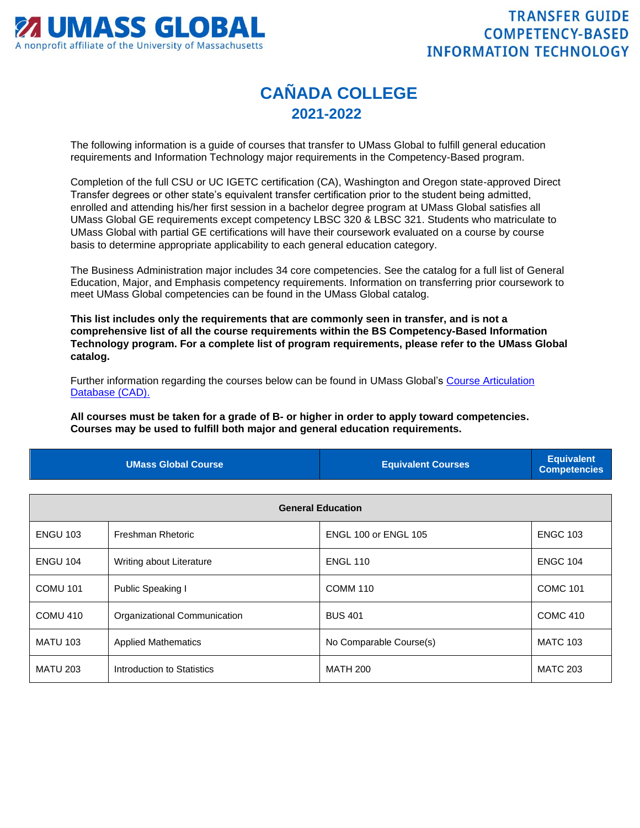

## **CAÑADA COLLEGE 2021-2022**

The following information is a guide of courses that transfer to UMass Global to fulfill general education requirements and Information Technology major requirements in the Competency-Based program.

Completion of the full CSU or UC IGETC certification (CA), Washington and Oregon state-approved Direct Transfer degrees or other state's equivalent transfer certification prior to the student being admitted, enrolled and attending his/her first session in a bachelor degree program at UMass Global satisfies all UMass Global GE requirements except competency LBSC 320 & LBSC 321. Students who matriculate to UMass Global with partial GE certifications will have their coursework evaluated on a course by course basis to determine appropriate applicability to each general education category.

The Business Administration major includes 34 core competencies. See the catalog for a full list of General Education, Major, and Emphasis competency requirements. Information on transferring prior coursework to meet UMass Global competencies can be found in the UMass Global catalog.

**This list includes only the requirements that are commonly seen in transfer, and is not a comprehensive list of all the course requirements within the BS Competency-Based Information Technology program. For a complete list of program requirements, please refer to the UMass Global catalog.**

Further information regarding the courses below can be found in UMass Global's [Course Articulation](http://services.umassglobal.edu/studentservices/TransferCredit/)  [Database \(CAD\).](http://services.umassglobal.edu/studentservices/TransferCredit/) 

**All courses must be taken for a grade of B- or higher in order to apply toward competencies. Courses may be used to fulfill both major and general education requirements.** 

| <b>UMass Global Course</b> | <b>Equivalent Courses</b> | <b>Equivalent</b><br>Competencies |
|----------------------------|---------------------------|-----------------------------------|
|                            |                           |                                   |

| <b>General Education</b> |                              |                         |                 |
|--------------------------|------------------------------|-------------------------|-----------------|
| <b>ENGU 103</b>          | Freshman Rhetoric            | ENGL 100 or ENGL 105    | <b>ENGC 103</b> |
| <b>ENGU 104</b>          | Writing about Literature     | <b>ENGL 110</b>         | <b>ENGC 104</b> |
| <b>COMU 101</b>          | Public Speaking I            | <b>COMM 110</b>         | <b>COMC 101</b> |
| COMU 410                 | Organizational Communication | <b>BUS 401</b>          | <b>COMC 410</b> |
| <b>MATU 103</b>          | <b>Applied Mathematics</b>   | No Comparable Course(s) | <b>MATC 103</b> |
| <b>MATU 203</b>          | Introduction to Statistics   | <b>MATH 200</b>         | <b>MATC 203</b> |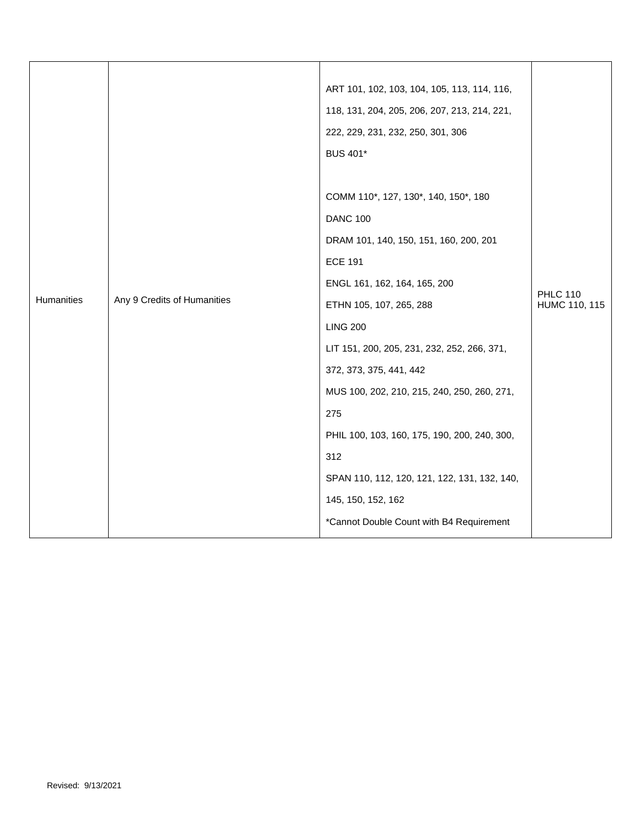|                                           |                                              | ART 101, 102, 103, 104, 105, 113, 114, 116,  |                                  |
|-------------------------------------------|----------------------------------------------|----------------------------------------------|----------------------------------|
|                                           | 118, 131, 204, 205, 206, 207, 213, 214, 221, |                                              |                                  |
|                                           | 222, 229, 231, 232, 250, 301, 306            |                                              |                                  |
|                                           | <b>BUS 401*</b>                              |                                              |                                  |
|                                           |                                              |                                              |                                  |
| Humanities<br>Any 9 Credits of Humanities | COMM 110*, 127, 130*, 140, 150*, 180         |                                              |                                  |
|                                           |                                              | <b>DANC 100</b>                              |                                  |
|                                           | DRAM 101, 140, 150, 151, 160, 200, 201       |                                              |                                  |
|                                           | <b>ECE 191</b>                               |                                              |                                  |
|                                           | ENGL 161, 162, 164, 165, 200                 |                                              |                                  |
|                                           |                                              | ETHN 105, 107, 265, 288                      | <b>PHLC 110</b><br>HUMC 110, 115 |
|                                           |                                              | <b>LING 200</b>                              |                                  |
|                                           |                                              | LIT 151, 200, 205, 231, 232, 252, 266, 371,  |                                  |
|                                           |                                              | 372, 373, 375, 441, 442                      |                                  |
|                                           |                                              | MUS 100, 202, 210, 215, 240, 250, 260, 271,  |                                  |
|                                           | 275                                          |                                              |                                  |
|                                           | PHIL 100, 103, 160, 175, 190, 200, 240, 300, |                                              |                                  |
|                                           |                                              | 312                                          |                                  |
|                                           |                                              | SPAN 110, 112, 120, 121, 122, 131, 132, 140, |                                  |
|                                           |                                              | 145, 150, 152, 162                           |                                  |
|                                           |                                              | *Cannot Double Count with B4 Requirement     |                                  |
|                                           |                                              |                                              |                                  |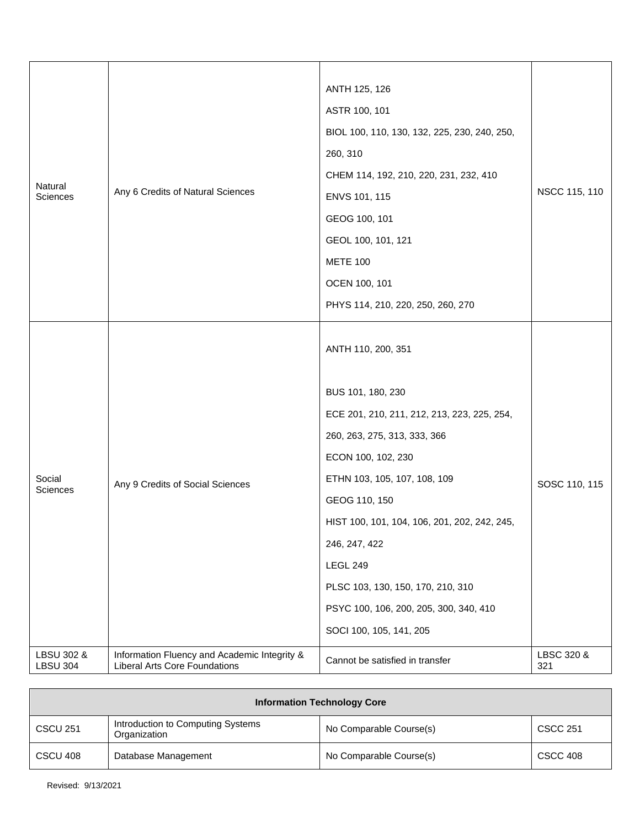| Natural<br>Sciences           | Any 6 Credits of Natural Sciences                                                    | ANTH 125, 126<br>ASTR 100, 101<br>BIOL 100, 110, 130, 132, 225, 230, 240, 250,<br>260, 310<br>CHEM 114, 192, 210, 220, 231, 232, 410<br>ENVS 101, 115<br>GEOG 100, 101<br>GEOL 100, 101, 121<br><b>METE 100</b><br>OCEN 100, 101<br>PHYS 114, 210, 220, 250, 260, 270                                                                                                                       | NSCC 115, 110     |
|-------------------------------|--------------------------------------------------------------------------------------|---------------------------------------------------------------------------------------------------------------------------------------------------------------------------------------------------------------------------------------------------------------------------------------------------------------------------------------------------------------------------------------------|-------------------|
| Social<br>Sciences            | Any 9 Credits of Social Sciences                                                     | ANTH 110, 200, 351<br>BUS 101, 180, 230<br>ECE 201, 210, 211, 212, 213, 223, 225, 254,<br>260, 263, 275, 313, 333, 366<br>ECON 100, 102, 230<br>ETHN 103, 105, 107, 108, 109<br>GEOG 110, 150<br>HIST 100, 101, 104, 106, 201, 202, 242, 245,<br>246, 247, 422<br><b>LEGL 249</b><br>PLSC 103, 130, 150, 170, 210, 310<br>PSYC 100, 106, 200, 205, 300, 340, 410<br>SOCI 100, 105, 141, 205 | SOSC 110, 115     |
| LBSU 302 &<br><b>LBSU 304</b> | Information Fluency and Academic Integrity &<br><b>Liberal Arts Core Foundations</b> | Cannot be satisfied in transfer                                                                                                                                                                                                                                                                                                                                                             | LBSC 320 &<br>321 |

| <b>Information Technology Core</b> |                                                   |                         |                 |
|------------------------------------|---------------------------------------------------|-------------------------|-----------------|
| <b>CSCU 251</b>                    | Introduction to Computing Systems<br>Organization | No Comparable Course(s) | <b>CSCC 251</b> |
| CSCU 408                           | Database Management                               | No Comparable Course(s) | <b>CSCC 408</b> |